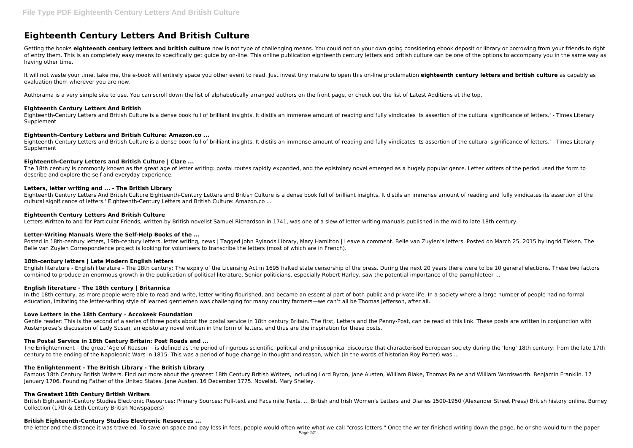# **Eighteenth Century Letters And British Culture**

Getting the books eighteenth century letters and british culture now is not type of challenging means. You could not on your own going considering ebook deposit or library or borrowing from your friends to right of entry them. This is an completely easy means to specifically get guide by on-line. This online publication eighteenth century letters and british culture can be one of the options to accompany you in the same way as having other time.

It will not waste your time. take me, the e-book will entirely space you other event to read. Just invest tiny mature to open this on-line proclamation **eighteenth century letters and british culture** as capably as evaluation them wherever you are now.

Authorama is a very simple site to use. You can scroll down the list of alphabetically arranged authors on the front page, or check out the list of Latest Additions at the top.

The 18th century is commonly known as the great age of letter writing: postal routes rapidly expanded, and the epistolary novel emerged as a hugely popular genre. Letter writers of the period used the form to describe and explore the self and everyday experience.

# **Eighteenth Century Letters And British**

Eighteenth-Century Letters and British Culture is a dense book full of brilliant insights. It distils an immense amount of reading and fully vindicates its assertion of the cultural significance of letters.' - Times Literary Supplement

# **Eighteenth-Century Letters and British Culture: Amazon.co ...**

Eighteenth-Century Letters and British Culture is a dense book full of brilliant insights. It distils an immense amount of reading and fully vindicates its assertion of the cultural significance of letters.' - Times Literary Supplement

Posted in 18th-century letters, 19th-century letters, letter writing, news | Tagged John Rylands Library, Mary Hamilton | Leave a comment. Belle van Zuylen's letters. Posted on March 25, 2015 by Ingrid Tieken. The Belle van Zuylen Correspondence project is looking for volunteers to transcribe the letters (most of which are in French).

# **Eighteenth-Century Letters and British Culture | Clare ...**

In the 18th century, as more people were able to read and write, letter writing flourished, and became an essential part of both public and private life. In a society where a large number of people had no formal education, imitating the letter-writing style of learned gentlemen was challenging for many country farmers—we can't all be Thomas Jefferson, after all.

# **Letters, letter writing and ... - The British Library**

Gentle reader: This is the second of a series of three posts about the postal service in 18th century Britain. The first, Letters and the Penny-Post, can be read at this link. These posts are written in conjunction with Austenprose's discussion of Lady Susan, an epistolary novel written in the form of letters, and thus are the inspiration for these posts.

Eighteenth Century Letters And British Culture Eighteenth-Century Letters and British Culture is a dense book full of brilliant insights. It distils an immense amount of reading and fully vindicates its assertion of the cultural significance of letters.' Eighteenth-Century Letters and British Culture: Amazon.co ...

# **Eighteenth Century Letters And British Culture**

Letters Written to and for Particular Friends, written by British novelist Samuel Richardson in 1741, was one of a slew of letter-writing manuals published in the mid-to-late 18th century.

# **Letter-Writing Manuals Were the Self-Help Books of the ...**

# **18th-century letters | Late Modern English letters**

English literature - English literature - The 18th century: The expiry of the Licensing Act in 1695 halted state censorship of the press. During the next 20 years there were to be 10 general elections. These two factors combined to produce an enormous growth in the publication of political literature. Senior politicians, especially Robert Harley, saw the potential importance of the pamphleteer ...

# **English literature - The 18th century | Britannica**

# **Love Letters in the 18th Century – Accokeek Foundation**

# **The Postal Service in 18th Century Britain: Post Roads and ...**

The Enlightenment – the great 'Age of Reason' – is defined as the period of rigorous scientific, political and philosophical discourse that characterised European society during the 'long' 18th century: from the late 17th century to the ending of the Napoleonic Wars in 1815. This was a period of huge change in thought and reason, which (in the words of historian Roy Porter) was ...

# **The Enlightenment - The British Library - The British Library**

Famous 18th Century British Writers. Find out more about the greatest 18th Century British Writers, including Lord Byron, Jane Austen, William Blake, Thomas Paine and William Wordsworth. Benjamin Franklin. 17 January 1706. Founding Father of the United States. Jane Austen. 16 December 1775. Novelist. Mary Shelley.

# **The Greatest 18th Century British Writers**

British Eighteenth-Century Studies Electronic Resources: Primary Sources: Full-text and Facsimile Texts. ... British and Irish Women's Letters and Diaries 1500-1950 (Alexander Street Press) British history online. Burney Collection (17th & 18th Century British Newspapers)

# **British Eighteenth-Century Studies Electronic Resources ...**

the letter and the distance it was traveled. To save on space and pay less in fees, people would often write what we call "cross-letters." Once the writer finished writing down the page, he or she would turn the paper